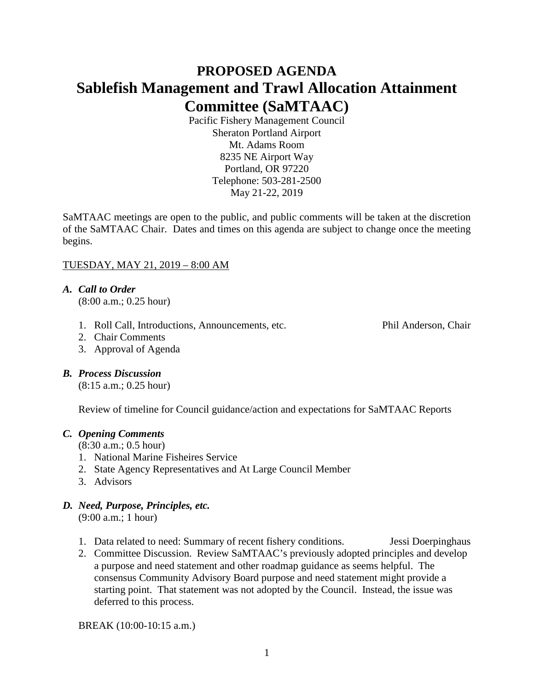# **PROPOSED AGENDA Sablefish Management and Trawl Allocation Attainment Committee (SaMTAAC)**

Pacific Fishery Management Council Sheraton Portland Airport Mt. Adams Room 8235 NE Airport Way Portland, OR 97220 Telephone: 503-281-2500 May 21-22, 2019

SaMTAAC meetings are open to the public, and public comments will be taken at the discretion of the SaMTAAC Chair. Dates and times on this agenda are subject to change once the meeting begins.

## TUESDAY, MAY 21, 2019 – 8:00 AM

# *A. Call to Order*

(8:00 a.m.; 0.25 hour)

1. Roll Call, Introductions, Announcements, etc. Phil Anderson, Chair

- 2. Chair Comments
- 3. Approval of Agenda

## *B. Process Discussion*

(8:15 a.m.; 0.25 hour)

Review of timeline for Council guidance/action and expectations for SaMTAAC Reports

# *C. Opening Comments*

- (8:30 a.m.; 0.5 hour)
- 1. National Marine Fisheires Service
- 2. State Agency Representatives and At Large Council Member
- 3. Advisors

# *D. Need, Purpose, Principles, etc.*

(9:00 a.m.; 1 hour)

- 1. Data related to need: Summary of recent fishery conditions. Jessi Doerpinghaus
- 2. Committee Discussion. Review SaMTAAC's previously adopted principles and develop a purpose and need statement and other roadmap guidance as seems helpful. The consensus Community Advisory Board purpose and need statement might provide a starting point. That statement was not adopted by the Council. Instead, the issue was deferred to this process.

BREAK (10:00-10:15 a.m.)